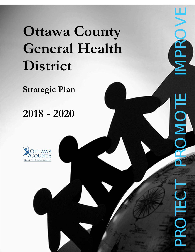# **Ottawa County General Health District**

Ottawa County General Health District Strategic Plan 2018

‐2020

**Strategic Plan** 

# **2018 - 2020**





IOI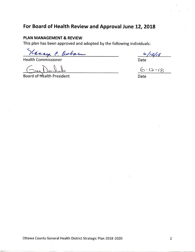# **For Board of Health Review and Approval June 12, 2018**

#### **PLAN MANAGEMENT & REVIEW**

This plan has been approved and adopted by the following individuals:

Vaucy P. Oxborn<br>Health Commissioner Date<br>Board of Health President Date <u>G-12-18</u>

Board of Health President

Ottawa County General Health District Strategic Plan 2018-2020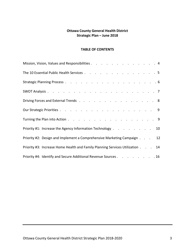#### **Ottawa County General Health District Strategic Plan – June 2018**

#### **TABLE OF CONTENTS**

| Mission, Vision, Values and Responsibilities 4                                |
|-------------------------------------------------------------------------------|
| The 10 Essential Public Health Services 5                                     |
|                                                                               |
|                                                                               |
| Driving Forces and External Trends 8                                          |
|                                                                               |
|                                                                               |
| Priority #1: Increase the Agency Information Technology 10                    |
| Priority #2: Design and Implement a Comprehensive Marketing Campaign 12       |
| Priority #3: Increase Home Health and Family Planning Services Utilization 14 |
| Priority #4: Identify and Secure Additional Revenue Sources 16                |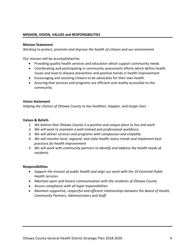#### **MISSION, VISION, VALUES and RESPONSIBILITIES**

#### **Mission Statement**

*Working to protect, promote and improve the health of citizens and our environment*

Our mission will be accomplished by:

- Providing quality health services and education which support community needs
- Coordinating and participating in community assessment efforts which define health issues and lead to disease prevention and positive trends in health improvement
- Encouraging and assisting citizens to be advocates for their own health
- Assuring that services and programs are efficient and readily accessible to the community

#### **Vision Statement**

*Helping the citizens of Ottawa County to live healthier, happier, and longer lives*

#### **Values & Beliefs**

- *1. We believe that Ottawa County is a positive and unique place to live and work*
- *2. We will work to maintain a well‐trained and professional workforce*
- *3. We will deliver services and programs with compassion and empathy*
- *4. We will monitor local, regional, and state health status trends and implement best practices for health improvement*
- *5. We will work with community partners to identify and address the health needs of residents*

#### **Responsibilities**

- *Support the mission of public health and align our work with the 10 Essential Public Health Services*
- *Maintain open and honest communication with the residents of Ottawa County*
- *Assure compliance with all legal responsibilities*
- *Maintain supportive, respectful and efficient relationships between the Board of Health, Community Partners, Administrators and Staff*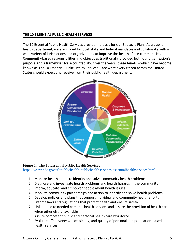#### **THE 10 ESSENTIAL PUBLIC HEALTH SERVICES**

The 10 Essential Public Health Services provide the basis for our Strategic Plan. As a public health department, we are guided by local, state and federal mandates and collaborate with a wide variety of jurisdictions and organizations to improve the health of our communities. Community‐based responsibilities and objectives traditionally provided both our organization's purpose and a framework for accountability. Over the years, these tenets – which have become known as The 10 Essential Public Health Services – are what every citizen across the United States should expect and receive from their public health department.



Figure 1: The 10 Essential Public Health Services https://www.cdc.gov/stltpublichealth/publichealthservices/essentialhealthservices.html

- 1. Monitor health status to identify and solve community health problems
- 2. Diagnose and investigate health problems and health hazards in the community
- 3. Inform, educate, and empower people about health issues
- 4. Mobilize community partnerships and action to identify and solve health problems
- 5. Develop policies and plans that support individual and community health efforts
- 6. Enforce laws and regulations that protect health and ensure safety
- 7. Link people to needed personal health services and assure the provision of health care when otherwise unavailable
- 8. Assure competent public and personal health care workforce
- 9. Evaluate effectiveness, accessibility, and quality of personal and population‐based health services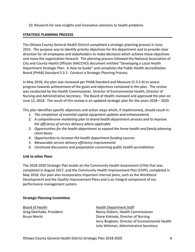10. Research for new insights and innovative solutions to health problems

#### **STRATEGIC PLANNING PROCESS**

The Ottawa County General Health District completed a strategic planning process in June 2015. The purpose was to identify priority objectives for the department and to provide clear direction for all employees and stakeholders to make decisions which achieve these objectives and move the organization forward. The planning process followed the National Association of City and County Health Officials (NACCHO) document entitled "Developing a Local Health Department Strategic Plan: A How-to Guide" and completes the Public Health Accreditation Board (PHAB) Standard 5.3.1: Conduct a Strategic Planning Process.

In May 2018, the plan was reviewed per PHAB Standard and Measure (5.3.3 A) to assess progress towards achievement of the goals and objectives contained in the plan. The review was conducted by the Health Commissioner, Director of Environmental Health, Director of Nursing and Administrative Secretary. The Board of Health reviewed and approved the plan on June 12, 2018. The result of this review is an updated strategic plan for the years 2018 – 2020.

This plan identifies specific objectives and action steps which, if implemented, should result in:

- *1. The completion of essential capital equipment updates and enhancements*
- *2. A comprehensive marketing plan to brand health department services and to improve the efficiency of service delivery where applicable*
- *3. Opportunities for the health department to expand the home health and family planning client bases*
- *4. Opportunities to increase the health department funding sources*
- *5. Measurable service delivery efficiency improvements*
- *6. Continued discussions and preparation concerning public health accreditation*

#### **Link to other Plans**

The 2018‐2020 Strategic Plan builds on the Community Health Assessment (CHA) that was completed in August 2017, and the Community Health Improvement Plan (CHIP), completed in May 2018. Our plan also incorporates important internal plans, such as the Workforce Development and the Quality Improvement Plans and is an integral component of our performance management system.

#### **Strategic Planning Committee**

Board of Health **Health Health Department Staff** Greg Deerhake, President Nancy Osborn, Health Commissioner

Bruce Moritz Diane Kokinda, Director of Nursing Jerry Bingham, Director of Environmental Health Julie Wittman, Administrative Secretary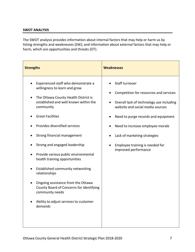#### **SWOT ANALYSIS**

The SWOT analysis provides information about internal factors that may help or harm us by listing strengths and weaknesses (SW); and information about external factors that may help or harm, which are opportunities and threats (OT).

| <b>Strengths</b>                                                                                                                                                                                                                                                                                                                                                                                                                                                                                                                                                                       | <b>Weaknesses</b>                                                                                                                                                                                                                                                                                              |
|----------------------------------------------------------------------------------------------------------------------------------------------------------------------------------------------------------------------------------------------------------------------------------------------------------------------------------------------------------------------------------------------------------------------------------------------------------------------------------------------------------------------------------------------------------------------------------------|----------------------------------------------------------------------------------------------------------------------------------------------------------------------------------------------------------------------------------------------------------------------------------------------------------------|
| Experienced staff who demonstrate a<br>willingness to learn and grow<br>The Ottawa County Health District is<br>established and well known within the<br>community<br><b>Great Facilities</b><br>Provides diversified services<br>Strong financial management<br>Strong and engaged leadership<br>Provide various public environmental<br>health training opportunities<br>Established community networking<br>relationships<br>Ongoing assistance from the Ottawa<br>County Board of Concerns for identifying<br>community needs<br>Ability to adjust services to customer<br>demands | Staff turnover<br>Competition for resources and services<br>Overall lack of technology use including<br>website and social media sources<br>Need to purge records and equipment<br>Need to increase employee morale<br>Lack of marketing strategies<br>Employee training is needed for<br>improved performance |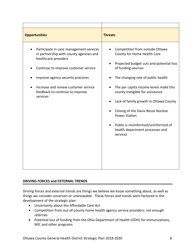| <b>Opportunities</b>                                                                                                                                                                                                                                                           | <b>Threats</b>                                                                                                                                                                                                                                                                                                                                                                                                                                                  |
|--------------------------------------------------------------------------------------------------------------------------------------------------------------------------------------------------------------------------------------------------------------------------------|-----------------------------------------------------------------------------------------------------------------------------------------------------------------------------------------------------------------------------------------------------------------------------------------------------------------------------------------------------------------------------------------------------------------------------------------------------------------|
| Participate in case management services<br>in partnership with county agencies and<br>healthcare providers<br>Continue to improve customer service<br>Improve agency security practices<br>Increase and review customer service<br>feedback to continue to improve<br>services | Competition from outside Ottawa<br>County for Home Health Care<br>Projected budget cuts and potential loss<br>of funding sources<br>The changing role of public health<br>The per capita income levels make this<br>county ineligible for assistance<br>Lack of family growth in Ottawa County<br>Closing of the Davis-Besse Nuclear<br><b>Power Station</b><br>Public is misinformed/uninformed of<br>$\bullet$<br>health department processes and<br>services |

#### **DRIVING FORCES and EXTERNAL TRENDS**

Driving forces and external trends are things we believe we know something about, as well as things we consider uncertain or unknowable. These forces and trends were factored in the development of the strategic plan:

- Uncertainty about the Affordable Care Act
- Competition from out-of-county home health agency service providers; not enough referrals
- Potential loss of funding from the Ohio Department of Health (ODH) for immunizations, WIC and other programs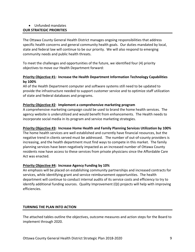#### Unfunded mandates **OUR STRATEGIC PRIORITIES**

The Ottawa County General Health District manages ongoing responsibilities that address specific health concerns and general community health goals. Our duties mandated by local, state and federal law will continue to be our priority. We will also respond to emerging community needs and public health threats.

To meet the challenges and opportunities of the future, we identified four (4) priority objectives to move our Health Department forward:

#### **Priority Objective #1: Increase the Health Department Information Technology Capabilities by 100%**

All of the Health Department computer and software systems still need to be updated to provide the infrastructure needed to support customer service and to optimize staff utilization of state and federal databases and programs.

#### **Priority Objective #2**: **Implement a comprehensive marketing program**

A comprehensive marketing campaign could be used to brand the home health services. The agency website is underutilized and would benefit from enhancements. The Health needs to incorporate social media in its program and service marketing strategies.

#### **Priority Objective #3: Increase Home Health and Family Planning Services Utilization by 100%**

The home health services are well established and currently have financial resources, but the negative trend in clients served must be addressed. The number of out‐of‐county providers is increasing, and the health department must find ways to compete in this market. The family planning services have been negatively impacted as an increased number of Ottawa County residents now have access to these services from private physicians since the Affordable Care Act was enacted.

#### **Priority Objective #4: Increase Agency Funding by 10%**

An emphasis will be placed on establishing community partnerships and increased contracts for services, while identifying grant and service reimbursement opportunities. The health department will continue to conduct internal audits of its service costs and efficiency to try to identify additional funding sources. Quality Improvement (QI) projects will help with improving efficiencies.

#### **TURNING THE PLAN INTO ACTION**

The attached tables outline the objectives, outcome measures and action steps for the Board to implement through 2020.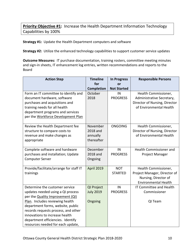# **Priority Objective #1:** Increase the Health Department Information Technology Capabilities by 100%

**Strategy #1:** Update the Health Department computers and software

**Strategy #2:** Utilize the enhanced technology capabilities to support customer service updates

**Outcome Measures:** IT purchase documentation, training rosters, committee meeting minutes and sign-in sheets, IT enhancement log entries, written recommendations and reports to the Board

| <b>Action Step</b>                      | <b>Timeline</b>   | <b>In Progress</b> | <b>Responsible Persons</b>     |
|-----------------------------------------|-------------------|--------------------|--------------------------------|
|                                         | for               | or                 |                                |
|                                         | <b>Completion</b> | <b>Not Started</b> |                                |
| Form an IT committee to identify and    | October           | IN                 | Health Commissioner,           |
| document hardware, software             | 2018              | <b>PROGRESS</b>    | Administrative Secretary,      |
| purchases and acquisitions and          |                   |                    | Director of Nursing, Director  |
| training needs for all health           |                   |                    | of Environmental Health        |
| department programs and services        |                   |                    |                                |
| per the Workforce Development Plan      |                   |                    |                                |
|                                         | November          | <b>ONGOING</b>     |                                |
| Review the Health Department fee        |                   |                    | Health Commissioner,           |
| structure to compare costs to           | 2018 and          |                    | Director of Nursing, Director  |
| revenue and make changes as             | annually          |                    | of Environmental Health        |
| appropriate                             | thereafter        |                    |                                |
| Complete software and hardware          | December          | IN                 | Health Commissioner and        |
| purchases and installation; Update      | 2018 and          | <b>PROGRESS</b>    | Project Manager                |
| <b>Computer Server</b>                  | Ongoing           |                    |                                |
|                                         |                   |                    |                                |
| Provide/facilitate/arrange for staff IT | <b>April 2019</b> | <b>NOT</b>         | Health Commissioner,           |
| trainings                               |                   | <b>STARTED</b>     | Project Manager, Director of   |
|                                         |                   |                    | Nursing, Director of           |
|                                         |                   |                    | <b>Environmental Health</b>    |
| Determine the customer service          | QI Project        | IN                 | <b>IT Committee and Health</b> |
| updates needed using a QI process       | <b>July 2019</b>  | <b>PROGRESS</b>    | Commissioner                   |
| per the <b>Quality Improvement</b> (QI) |                   |                    |                                |
| Plan. Includes reviewing health         | Ongoing           |                    | QI Team                        |
| department forms, website, public       |                   |                    |                                |
| records requests process, and other     |                   |                    |                                |
| innovations to increase health          |                   |                    |                                |
| department efficiencies. Identify       |                   |                    |                                |
| resources needed for each update,       |                   |                    |                                |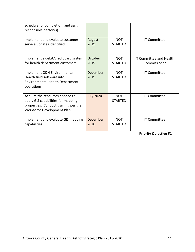| schedule for completion, and assign<br>responsible person(s).                                                                                |                  |                              |                                |
|----------------------------------------------------------------------------------------------------------------------------------------------|------------------|------------------------------|--------------------------------|
| Implement and evaluate customer                                                                                                              | August           | <b>NOT</b>                   | <b>IT Committee</b>            |
| service updates identified                                                                                                                   | 2019             | <b>STARTED</b>               |                                |
| Implement a debit/credit card system                                                                                                         | October          | <b>NOT</b>                   | <b>IT Committee and Health</b> |
| for health department customers                                                                                                              | 2019             | <b>STARTFD</b>               | Commissioner                   |
| Implement ODH Environmental<br>Health field software into<br>Environmental Health Department<br>operations                                   | December<br>2019 | <b>NOT</b><br><b>STARTED</b> | <b>IT Committee</b>            |
| Acquire the resources needed to<br>apply GIS capabilities for mapping<br>properties. Conduct training per the<br>Workforce Development Plan. | <b>July 2020</b> | <b>NOT</b><br><b>STARTED</b> | <b>IT Committee</b>            |
| Implement and evaluate GIS mapping                                                                                                           | December         | <b>NOT</b>                   | <b>IT Committee</b>            |
| capabilities                                                                                                                                 | 2020             | <b>STARTFD</b>               |                                |

**Priority Objective #1**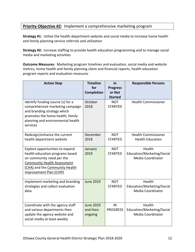## **Priority Objective #2:** Implement a comprehensive marketing program

**Strategy #1:** Utilize the health department website and social media to increase home health and family planning service referrals and utilization

**Strategy #2:** Increase staffing to provide health education programming and to manage social media and marketing activities

**Outcome Measures:** Marketing program timelines and evaluation, social media and website metrics, home health and family planning client and financial reports, health education program reports and evaluation measures

| <b>Action Step</b>                                                                                                                                                                                 | <b>Timeline</b><br>for<br><b>Completion</b> | <b>In</b><br><b>Progress</b><br>or Not<br><b>Started</b> | <b>Responsible Persons</b>                                       |
|----------------------------------------------------------------------------------------------------------------------------------------------------------------------------------------------------|---------------------------------------------|----------------------------------------------------------|------------------------------------------------------------------|
| Identify funding source (s) for a<br>comprehensive marketing campaign<br>and branding strategy which<br>promotes the home health, family<br>planning and environmental health<br>services          | October<br>2018                             | <b>NOT</b><br><b>STARTED</b>                             | <b>Health Commissioner</b>                                       |
| Redesign/enhance the current<br>health department website                                                                                                                                          | December<br>2018                            | <b>NOT</b><br><b>STARTED</b>                             | <b>Health Commissioner</b><br><b>Health Education</b>            |
| Explore opportunities to expand<br>health education programs based<br>on community need per the<br><b>Community Health Assessment</b><br>(CHA) and the Community Health<br>Improvement Plan (CHIP) | January<br>2019                             | <b>NOT</b><br><b>STARTED</b>                             | Health<br>Education/Marketing/Social<br><b>Media Coordinator</b> |
| Implement marketing and branding<br>strategies and collect evaluation<br>data                                                                                                                      | <b>June 2019</b>                            | <b>NOT</b><br><b>STARTED</b>                             | Health<br>Education/Marketing/Social<br>Media Coordinator        |
| Coordinate with the agency staff<br>and various departments then<br>update the agency website and<br>social media at least weekly                                                                  | <b>June 2019</b><br>and then<br>ongoing     | IN<br><b>PROGRESS</b>                                    | Health<br>Education/Marketing/Social<br><b>Media Coordinator</b> |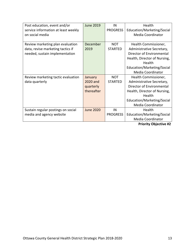| Post education, event and/or        | <b>June 2019</b> | IN              | Health                       |
|-------------------------------------|------------------|-----------------|------------------------------|
| service information at least weekly |                  | <b>PROGRESS</b> | Education/Marketing/Social   |
| on social media                     |                  |                 | Media Coordinator            |
|                                     |                  |                 |                              |
| Review marketing plan evaluation    | December         | <b>NOT</b>      | Health Commissioner,         |
| data, revise marketing tactics if   | 2019             | <b>STARTED</b>  | Administrative Secretary,    |
| needed, sustain implementation      |                  |                 | Director of Environmental    |
|                                     |                  |                 | Health, Director of Nursing, |
|                                     |                  |                 | Health                       |
|                                     |                  |                 | Education/Marketing/Social   |
|                                     |                  |                 | Media Coordinator            |
| Review marketing tactic evaluation  | January          | <b>NOT</b>      | Health Commissioner,         |
| data quarterly                      | 2020 and         | <b>STARTED</b>  | Administrative Secretary,    |
|                                     | quarterly        |                 | Director of Environmental    |
|                                     | thereafter       |                 | Health, Director of Nursing, |
|                                     |                  |                 | Health                       |
|                                     |                  |                 | Education/Marketing/Social   |
|                                     |                  |                 | Media Coordinator            |
| Sustain regular postings on social  | <b>June 2020</b> | IN              | Health                       |
| media and agency website            |                  | <b>PROGRESS</b> | Education/Marketing/Social   |
|                                     |                  |                 | Media Coordinator            |

**Priority Objective #2**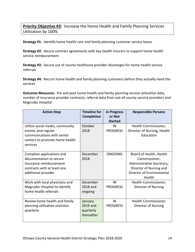# **Priority Objective #3:** Increase the Home Health and Family Planning Services Utilization by 100%

**Strategy #1:** Identify home health care and family planning customer service bases

**Strategy #2:** Secure contract agreements with key health insurers to support home health service reimbursement

**Strategy #3:** Secure out of county healthcare provider discharges for home health service referrals

**Strategy #4:** Recruit home health and family planning customers before they actually need the services

**Outcome Measures:** Pre and post home health and family planning service utilization data, number of insurance provider contracts, referral data from out‐of‐county service providers and Magruder Hospital

| <b>Action Step</b>                                                                                                                    | <b>Timeline for</b><br><b>Completion</b>       | <b>In Progress</b><br>or Not | <b>Responsible Persons</b>                                                                                                              |
|---------------------------------------------------------------------------------------------------------------------------------------|------------------------------------------------|------------------------------|-----------------------------------------------------------------------------------------------------------------------------------------|
|                                                                                                                                       |                                                | <b>Started</b>               |                                                                                                                                         |
| Utilize social media, community<br>events, and regular<br>communications with senior<br>centers to promote home health<br>services    | October<br>2018                                | IN<br><b>PROGRESS</b>        | Health Commissioner,<br>Director of Nursing, Health<br>Education                                                                        |
| Complete applications and<br>documentation to secure<br>insurance reimbursement<br>contracts with at least one<br>additional provider | December<br>2018                               | <b>ONGOING</b>               | Board of Health, Health<br>Commissioner,<br>Administrative Secretary,<br>Director of Nursing and<br>Director of Environmental<br>Health |
| Work with local physicians and<br>Magruder Hospital to identify<br>home health referrals                                              | December<br>2018 and<br>ongoing                | IN<br><b>PROGRESS</b>        | Health Commissioner,<br><b>Director of Nursing</b>                                                                                      |
| Review home health and family<br>planning utilization statistics<br>quarterly                                                         | January<br>2019 and<br>quarterly<br>thereafter | IN<br><b>PROGRESS</b>        | Health Commissioner,<br>Director of Nursing                                                                                             |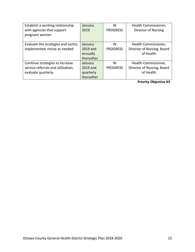| Establish a working relationship    | January    | IN              | Health Commissioner,       |
|-------------------------------------|------------|-----------------|----------------------------|
| with agencies that support          | 2019       | <b>PROGRESS</b> | <b>Director of Nursing</b> |
| pregnant women                      |            |                 |                            |
|                                     |            |                 |                            |
| Evaluate the strategies and tactics | January    | ΙN              | Health Commissioner,       |
| implemented, revise as needed       | 2019 and   | <b>PROGRESS</b> | Director of Nursing, Board |
|                                     | annually   |                 | of Health                  |
|                                     | thereafter |                 |                            |
| Continue strategies to increase     | January    | IN              | Health Commissioner,       |
| service referrals and utilization,  | 2019 and   | <b>PROGRESS</b> | Director of Nursing, Board |
| evaluate quarterly                  | quarterly  |                 | of Health                  |
|                                     | thereafter |                 |                            |

**Priority Objective #3**